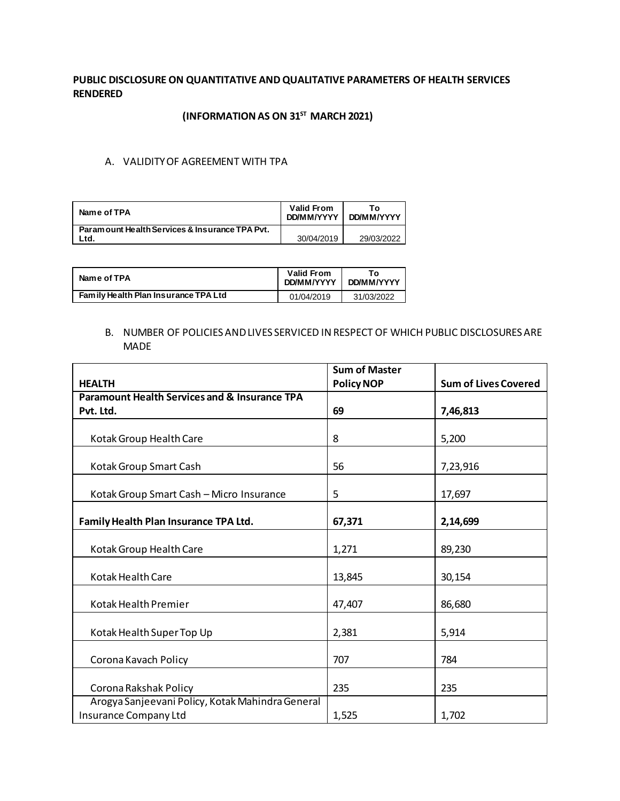## **PUBLIC DISCLOSURE ON QUANTITATIVE AND QUALITATIVE PARAMETERS OF HEALTH SERVICES RENDERED**

# **(INFORMATIONAS ON 31ST MARCH 2021)**

## A. VALIDITY OF AGREEMENT WITH TPA

| Name of TPA                                    | <b>Valid From</b><br>DD/MM/YYYY | To.<br><b>DD/MM/YYYY</b> |
|------------------------------------------------|---------------------------------|--------------------------|
| Paramount Health Services & Insurance TPA Pvt. |                                 |                          |
| Ltd.                                           | 30/04/2019                      | 29/03/2022               |

| Name of TPA                          | <b>Valid From</b><br>DD/MM/YYYY | <b>DD/MM/YYYY</b> |  |
|--------------------------------------|---------------------------------|-------------------|--|
| Family Health Plan Insurance TPA Ltd | 01/04/2019                      | 31/03/2022        |  |

## B. NUMBER OF POLICIES AND LIVES SERVICED IN RESPECT OF WHICH PUBLIC DISCLOSURES ARE MADE

|                                                                           | <b>Sum of Master</b> |                             |
|---------------------------------------------------------------------------|----------------------|-----------------------------|
| <b>HEALTH</b>                                                             | <b>Policy NOP</b>    | <b>Sum of Lives Covered</b> |
| <b>Paramount Health Services and &amp; Insurance TPA</b>                  |                      |                             |
| Pvt. Ltd.                                                                 | 69                   | 7,46,813                    |
| Kotak Group Health Care                                                   | 8                    | 5,200                       |
| Kotak Group Smart Cash                                                    | 56                   | 7,23,916                    |
| Kotak Group Smart Cash - Micro Insurance                                  | 5                    | 17,697                      |
| Family Health Plan Insurance TPA Ltd.                                     | 67,371               | 2,14,699                    |
| Kotak Group Health Care                                                   | 1,271                | 89,230                      |
| Kotak Health Care                                                         | 13,845               | 30,154                      |
| Kotak Health Premier                                                      | 47,407               | 86,680                      |
| Kotak Health Super Top Up                                                 | 2,381                | 5,914                       |
| Corona Kavach Policy                                                      | 707                  | 784                         |
| Corona Rakshak Policy                                                     | 235                  | 235                         |
| Arogya Sanjeevani Policy, Kotak Mahindra General<br>Insurance Company Ltd | 1,525                | 1,702                       |
|                                                                           |                      |                             |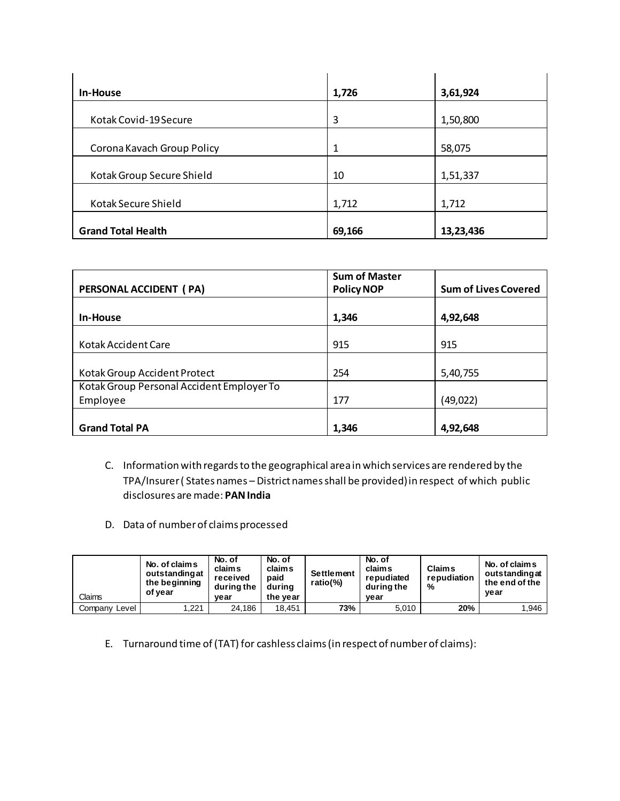| In-House                   | 1,726  | 3,61,924  |
|----------------------------|--------|-----------|
| Kotak Covid-19 Secure      | 3      | 1,50,800  |
| Corona Kavach Group Policy | 1      | 58,075    |
| Kotak Group Secure Shield  | 10     | 1,51,337  |
| Kotak Secure Shield        | 1,712  | 1,712     |
| <b>Grand Total Health</b>  | 69,166 | 13,23,436 |

| PERSONAL ACCIDENT (PA)                    | <b>Sum of Master</b><br><b>Policy NOP</b> | <b>Sum of Lives Covered</b> |
|-------------------------------------------|-------------------------------------------|-----------------------------|
| In-House                                  | 1,346                                     | 4,92,648                    |
| Kotak Accident Care                       | 915                                       | 915                         |
| Kotak Group Accident Protect              | 254                                       | 5,40,755                    |
| Kotak Group Personal Accident Employer To |                                           |                             |
| Employee                                  | 177                                       | (49, 022)                   |
| <b>Grand Total PA</b>                     | 1,346                                     | 4,92,648                    |

- C. Information with regards to the geographical area in which services are rendered by the TPA/Insurer ( States names – District names shall be provided) in respect of which public disclosures are made: **PAN India**
- D. Data of number of claims processed

| Claims        | No. of claims<br>outstanding at<br>the beginning<br>of vear | No. of<br><b>claims</b><br>received<br>during the<br>vear | No. of<br>claims<br>paid<br>during<br>the vear | <b>Settlement</b><br>ratio(%) | No. of<br>claims<br>repudiated<br>during the<br>vear | <b>Claims</b><br>repudiation<br>% | No. of claims<br>outstanding at<br>the end of the<br>vear |
|---------------|-------------------------------------------------------------|-----------------------------------------------------------|------------------------------------------------|-------------------------------|------------------------------------------------------|-----------------------------------|-----------------------------------------------------------|
| Company Level | 1.221                                                       | 24.186                                                    | 18.451                                         | 73%                           | 5,010                                                | 20%                               | 1,946                                                     |

E. Turnaround time of (TAT) for cashless claims (in respect of number of claims):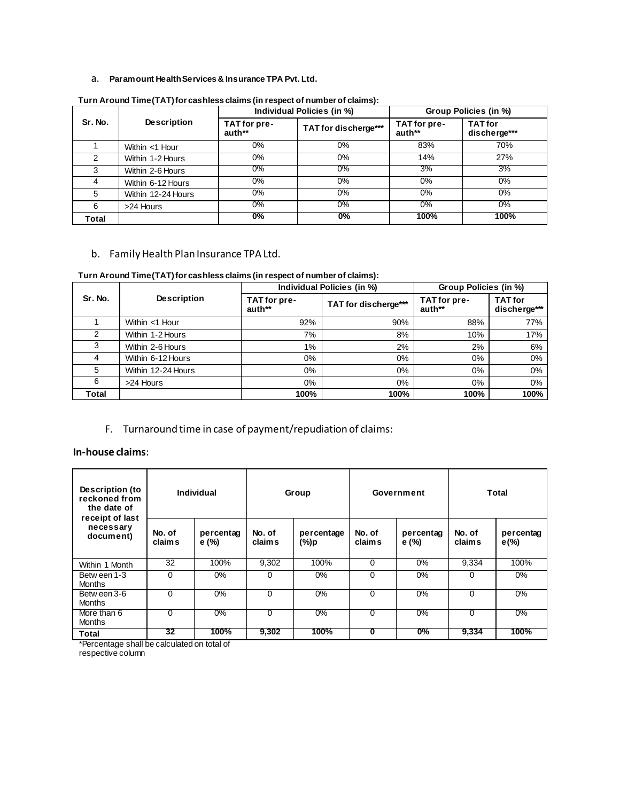### a. **Paramount Health Services & Insurance TPA Pvt. Ltd.**

|         |                    |                        | Individual Policies (in %) | Group Policies (in %)  |                                |  |
|---------|--------------------|------------------------|----------------------------|------------------------|--------------------------------|--|
| Sr. No. | <b>Description</b> | TAT for pre-<br>auth** | TAT for discherge***       | TAT for pre-<br>auth** | <b>TAT</b> for<br>discherge*** |  |
|         | Within <1 Hour     | 0%                     | $0\%$                      | 83%                    | 70%                            |  |
| 2       | Within 1-2 Hours   | 0%                     | $0\%$                      | 14%                    | 27%                            |  |
| 3       | Within 2-6 Hours   | $0\%$                  | $0\%$                      | 3%                     | 3%                             |  |
|         | Within 6-12 Hours  | $0\%$                  | 0%                         | 0%                     | 0%                             |  |
| 5       | Within 12-24 Hours | 0%                     | 0%                         | $0\%$                  | 0%                             |  |
| 6       | >24 Hours          | $0\%$                  | 0%                         | $0\%$                  | 0%                             |  |
| Total   |                    | 0%                     | 0%                         | 100%                   | 100%                           |  |

**Turn Around Time (TAT) for cashless claims (in respect of number of claims):**

### b. Family Health Plan Insurance TPA Ltd.

#### **Turn Around Time (TAT) for cashless claims (in respect of number of claims):**

|         |                    |                        | Individual Policies (in %) | Group Policies (in %)  |                                |  |
|---------|--------------------|------------------------|----------------------------|------------------------|--------------------------------|--|
| Sr. No. | <b>Description</b> | TAT for pre-<br>auth** | TAT for discherge***       | TAT for pre-<br>auth** | <b>TAT</b> for<br>discherge*** |  |
|         | Within <1 Hour     | 92%                    | 90%                        | 88%                    | 77%                            |  |
| 2       | Within 1-2 Hours   | 7%                     | 8%                         | 10%                    | 17%                            |  |
| 3       | Within 2-6 Hours   | $1\%$                  | 2%                         | 2%                     | 6%                             |  |
| 4       | Within 6-12 Hours  | $0\%$                  | 0%                         | $0\%$                  | 0%                             |  |
| 5       | Within 12-24 Hours | $0\%$                  | $0\%$                      | $0\%$                  | 0%                             |  |
| 6       | >24 Hours          | $0\%$                  | $0\%$                      | $0\%$                  | 0%                             |  |
| Total   |                    | 100%                   | 100%                       | 100%                   | 100%                           |  |

# F. Turnaround time in case of payment/repudiation of claims:

### **In-house claims**:

| Description (to<br>reckoned from<br>the date of | Individual       |                   | Group            |                    | Government       |                   | Total            |                      |
|-------------------------------------------------|------------------|-------------------|------------------|--------------------|------------------|-------------------|------------------|----------------------|
| receipt of last<br>necessary<br>document)       | No. of<br>claims | percentag<br>e(%) | No. of<br>claims | percentage<br>(%)p | No. of<br>claims | percentag<br>e(%) | No. of<br>claims | percentag<br>$e(\%)$ |
| Within 1 Month                                  | 32               | 100%              | 9,302            | 100%               | 0                | 0%                | 9,334            | 100%                 |
| Between 1-3<br><b>Months</b>                    | $\Omega$         | $0\%$             | $\Omega$         | $0\%$              | $\Omega$         | 0%                | $\Omega$         | $0\%$                |
| Between 3-6<br><b>Months</b>                    | $\Omega$         | $0\%$             | $\Omega$         | $0\%$              | $\Omega$         | 0%                | $\Omega$         | 0%                   |
| More than 6<br><b>Months</b>                    | $\Omega$         | $0\%$             | 0                | $0\%$              | 0                | $0\%$             | $\Omega$         | $0\%$                |
| Total                                           | 32               | 100%              | 9,302            | 100%               | 0                | $0\%$             | 9,334            | 100%                 |

\*Percentage shall be calculated on total of

respective column